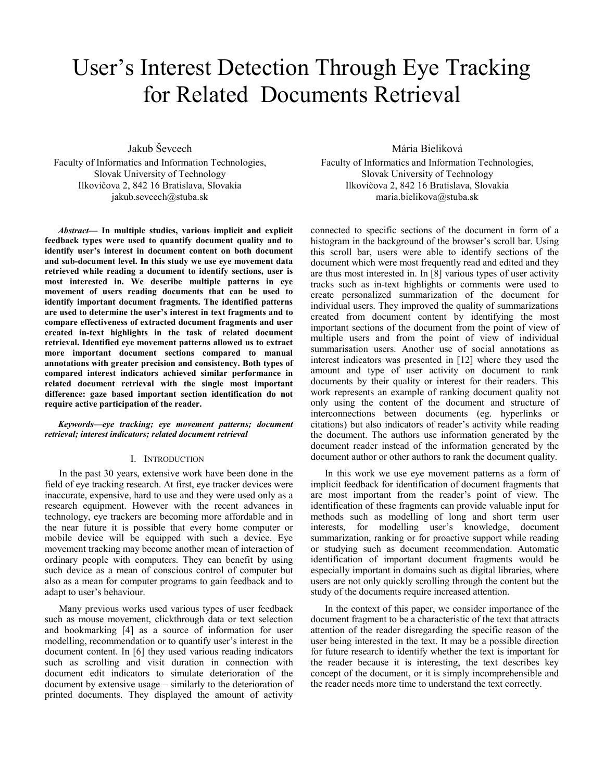# User's Interest Detection Through Eye Tracking for Related Documents Retrieval

Jakub Ševcech

Faculty of Informatics and Information Technologies, Slovak University of Technology Ilkovičova 2, 842 16 Bratislava, Slovakia jakub.sevcech@stuba.sk

*Abstract***— In multiple studies, various implicit and explicit feedback types were used to quantify document quality and to identify user's interest in document content on both document and sub-document level. In this study we use eye movement data retrieved while reading a document to identify sections, user is most interested in. We describe multiple patterns in eye movement of users reading documents that can be used to identify important document fragments. The identified patterns are used to determine the user's interest in text fragments and to compare effectiveness of extracted document fragments and user created in-text highlights in the task of related document retrieval. Identified eye movement patterns allowed us to extract more important document sections compared to manual annotations with greater precision and consistency. Both types of compared interest indicators achieved similar performance in related document retrieval with the single most important difference: gaze based important section identification do not require active participation of the reader.**

## *Keywords—eye tracking; eye movement patterns; document retrieval; interest indicators; related document retrieval*

## I. INTRODUCTION

In the past 30 years, extensive work have been done in the field of eye tracking research. At first, eye tracker devices were inaccurate, expensive, hard to use and they were used only as a research equipment. However with the recent advances in technology, eye trackers are becoming more affordable and in the near future it is possible that every home computer or mobile device will be equipped with such a device. Eye movement tracking may become another mean of interaction of ordinary people with computers. They can benefit by using such device as a mean of conscious control of computer but also as a mean for computer programs to gain feedback and to adapt to user's behaviour.

Many previous works used various types of user feedback such as mouse movement, clickthrough data or text selection and bookmarking [4] as a source of information for user modelling, recommendation or to quantify user's interest in the document content. In [6] they used various reading indicators such as scrolling and visit duration in connection with document edit indicators to simulate deterioration of the document by extensive usage – similarly to the deterioration of printed documents. They displayed the amount of activity

Mária Bieliková

Faculty of Informatics and Information Technologies, Slovak University of Technology Ilkovičova 2, 842 16 Bratislava, Slovakia maria.bielikova@stuba.sk

connected to specific sections of the document in form of a histogram in the background of the browser's scroll bar. Using this scroll bar, users were able to identify sections of the document which were most frequently read and edited and they are thus most interested in. In [8] various types of user activity tracks such as in-text highlights or comments were used to create personalized summarization of the document for individual users. They improved the quality of summarizations created from document content by identifying the most important sections of the document from the point of view of multiple users and from the point of view of individual summarisation users. Another use of social annotations as interest indicators was presented in [12] where they used the amount and type of user activity on document to rank documents by their quality or interest for their readers. This work represents an example of ranking document quality not only using the content of the document and structure of interconnections between documents (eg. hyperlinks or citations) but also indicators of reader's activity while reading the document. The authors use information generated by the document reader instead of the information generated by the document author or other authors to rank the document quality.

In this work we use eye movement patterns as a form of implicit feedback for identification of document fragments that are most important from the reader's point of view. The identification of these fragments can provide valuable input for methods such as modelling of long and short term user interests, for modelling user's knowledge, document summarization, ranking or for proactive support while reading or studying such as document recommendation. Automatic identification of important document fragments would be especially important in domains such as digital libraries, where users are not only quickly scrolling through the content but the study of the documents require increased attention.

In the context of this paper, we consider importance of the document fragment to be a characteristic of the text that attracts attention of the reader disregarding the specific reason of the user being interested in the text. It may be a possible direction for future research to identify whether the text is important for the reader because it is interesting, the text describes key concept of the document, or it is simply incomprehensible and the reader needs more time to understand the text correctly.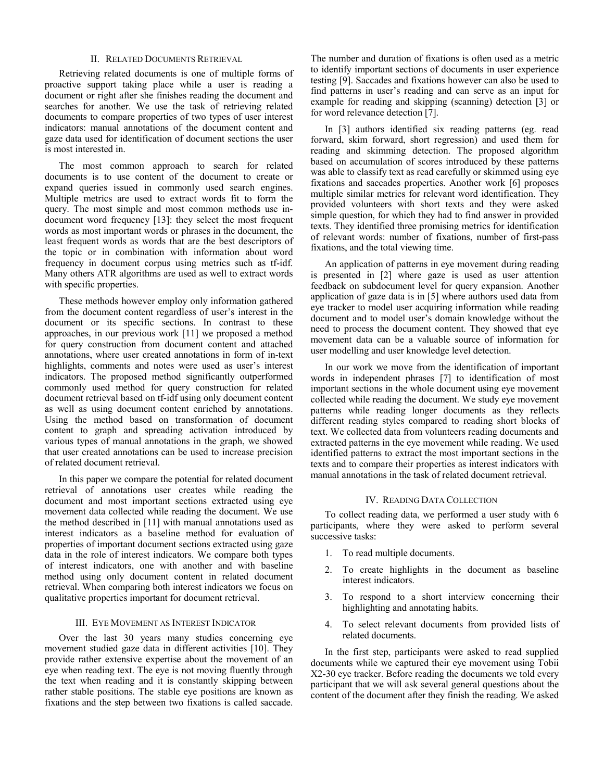#### II. RELATED DOCUMENTS RETRIEVAL

Retrieving related documents is one of multiple forms of proactive support taking place while a user is reading a document or right after she finishes reading the document and searches for another. We use the task of retrieving related documents to compare properties of two types of user interest indicators: manual annotations of the document content and gaze data used for identification of document sections the user is most interested in.

The most common approach to search for related documents is to use content of the document to create or expand queries issued in commonly used search engines. Multiple metrics are used to extract words fit to form the query. The most simple and most common methods use indocument word frequency [13]: they select the most frequent words as most important words or phrases in the document, the least frequent words as words that are the best descriptors of the topic or in combination with information about word frequency in document corpus using metrics such as tf-idf. Many others ATR algorithms are used as well to extract words with specific properties.

These methods however employ only information gathered from the document content regardless of user's interest in the document or its specific sections. In contrast to these approaches, in our previous work [11] we proposed a method for query construction from document content and attached annotations, where user created annotations in form of in-text highlights, comments and notes were used as user's interest indicators. The proposed method significantly outperformed commonly used method for query construction for related document retrieval based on tf-idf using only document content as well as using document content enriched by annotations. Using the method based on transformation of document content to graph and spreading activation introduced by various types of manual annotations in the graph, we showed that user created annotations can be used to increase precision of related document retrieval.

In this paper we compare the potential for related document retrieval of annotations user creates while reading the document and most important sections extracted using eye movement data collected while reading the document. We use the method described in [11] with manual annotations used as interest indicators as a baseline method for evaluation of properties of important document sections extracted using gaze data in the role of interest indicators. We compare both types of interest indicators, one with another and with baseline method using only document content in related document retrieval. When comparing both interest indicators we focus on qualitative properties important for document retrieval.

# III. EYE MOVEMENT AS INTEREST INDICATOR

Over the last 30 years many studies concerning eye movement studied gaze data in different activities [10]. They provide rather extensive expertise about the movement of an eye when reading text. The eye is not moving fluently through the text when reading and it is constantly skipping between rather stable positions. The stable eye positions are known as fixations and the step between two fixations is called saccade.

The number and duration of fixations is often used as a metric to identify important sections of documents in user experience testing [9]. Saccades and fixations however can also be used to find patterns in user's reading and can serve as an input for example for reading and skipping (scanning) detection [3] or for word relevance detection [7].

In [3] authors identified six reading patterns (eg. read forward, skim forward, short regression) and used them for reading and skimming detection. The proposed algorithm based on accumulation of scores introduced by these patterns was able to classify text as read carefully or skimmed using eye fixations and saccades properties. Another work [6] proposes multiple similar metrics for relevant word identification. They provided volunteers with short texts and they were asked simple question, for which they had to find answer in provided texts. They identified three promising metrics for identification of relevant words: number of fixations, number of first-pass fixations, and the total viewing time.

An application of patterns in eye movement during reading is presented in [2] where gaze is used as user attention feedback on subdocument level for query expansion. Another application of gaze data is in [5] where authors used data from eye tracker to model user acquiring information while reading document and to model user's domain knowledge without the need to process the document content. They showed that eye movement data can be a valuable source of information for user modelling and user knowledge level detection.

In our work we move from the identification of important words in independent phrases [7] to identification of most important sections in the whole document using eye movement collected while reading the document. We study eye movement patterns while reading longer documents as they reflects different reading styles compared to reading short blocks of text. We collected data from volunteers reading documents and extracted patterns in the eye movement while reading. We used identified patterns to extract the most important sections in the texts and to compare their properties as interest indicators with manual annotations in the task of related document retrieval.

#### IV. READING DATA COLLECTION

To collect reading data, we performed a user study with 6 participants, where they were asked to perform several successive tasks:

- 1. To read multiple documents.
- 2. To create highlights in the document as baseline interest indicators.
- 3. To respond to a short interview concerning their highlighting and annotating habits.
- 4. To select relevant documents from provided lists of related documents.

In the first step, participants were asked to read supplied documents while we captured their eye movement using Tobii X2-30 eye tracker. Before reading the documents we told every participant that we will ask several general questions about the content of the document after they finish the reading. We asked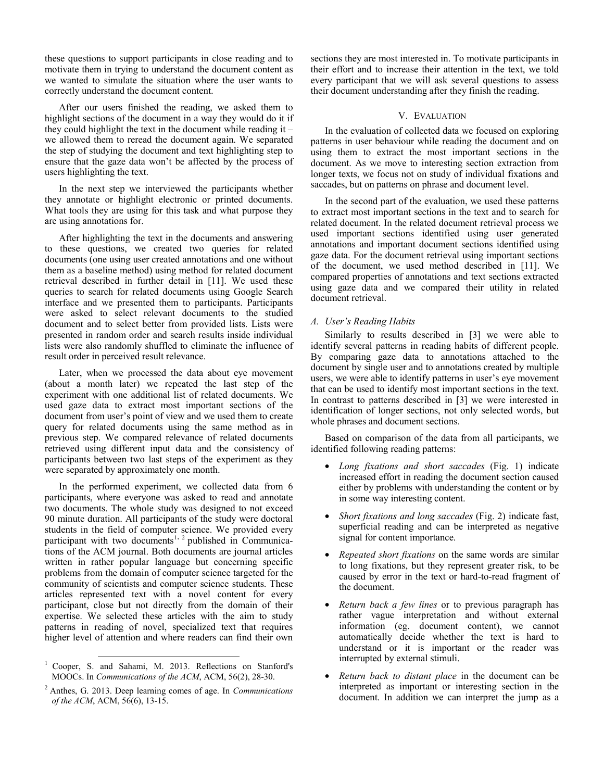these questions to support participants in close reading and to motivate them in trying to understand the document content as we wanted to simulate the situation where the user wants to correctly understand the document content.

After our users finished the reading, we asked them to highlight sections of the document in a way they would do it if they could highlight the text in the document while reading it – we allowed them to reread the document again. We separated the step of studying the document and text highlighting step to ensure that the gaze data won't be affected by the process of users highlighting the text.

In the next step we interviewed the participants whether they annotate or highlight electronic or printed documents. What tools they are using for this task and what purpose they are using annotations for.

After highlighting the text in the documents and answering to these questions, we created two queries for related documents (one using user created annotations and one without them as a baseline method) using method for related document retrieval described in further detail in [11]. We used these queries to search for related documents using Google Search interface and we presented them to participants. Participants were asked to select relevant documents to the studied document and to select better from provided lists. Lists were presented in random order and search results inside individual lists were also randomly shuffled to eliminate the influence of result order in perceived result relevance.

Later, when we processed the data about eye movement (about a month later) we repeated the last step of the experiment with one additional list of related documents. We used gaze data to extract most important sections of the document from user's point of view and we used them to create query for related documents using the same method as in previous step. We compared relevance of related documents retrieved using different input data and the consistency of participants between two last steps of the experiment as they were separated by approximately one month.

In the performed experiment, we collected data from 6 participants, where everyone was asked to read and annotate two documents. The whole study was designed to not exceed 90 minute duration. All participants of the study were doctoral students in the field of computer science. We provided every participant with two documents<sup>1, 2</sup> published in Communications of the ACM journal. Both documents are journal articles written in rather popular language but concerning specific problems from the domain of computer science targeted for the community of scientists and computer science students. These articles represented text with a novel content for every participant, close but not directly from the domain of their expertise. We selected these articles with the aim to study patterns in reading of novel, specialized text that requires higher level of attention and where readers can find their own

sections they are most interested in. To motivate participants in their effort and to increase their attention in the text, we told every participant that we will ask several questions to assess their document understanding after they finish the reading.

# V. EVALUATION

In the evaluation of collected data we focused on exploring patterns in user behaviour while reading the document and on using them to extract the most important sections in the document. As we move to interesting section extraction from longer texts, we focus not on study of individual fixations and saccades, but on patterns on phrase and document level.

In the second part of the evaluation, we used these patterns to extract most important sections in the text and to search for related document. In the related document retrieval process we used important sections identified using user generated annotations and important document sections identified using gaze data. For the document retrieval using important sections of the document, we used method described in [11]. We compared properties of annotations and text sections extracted using gaze data and we compared their utility in related document retrieval.

# *A. User's Reading Habits*

Similarly to results described in [3] we were able to identify several patterns in reading habits of different people. By comparing gaze data to annotations attached to the document by single user and to annotations created by multiple users, we were able to identify patterns in user's eye movement that can be used to identify most important sections in the text. In contrast to patterns described in [3] we were interested in identification of longer sections, not only selected words, but whole phrases and document sections.

Based on comparison of the data from all participants, we identified following reading patterns:

- *Long fixations and short saccades* (Fig. 1) indicate increased effort in reading the document section caused either by problems with understanding the content or by in some way interesting content.
- *Short fixations and long saccades* (Fig. 2) indicate fast, superficial reading and can be interpreted as negative signal for content importance.
- *Repeated short fixations* on the same words are similar to long fixations, but they represent greater risk, to be caused by error in the text or hard-to-read fragment of the document.
- *Return back a few lines* or to previous paragraph has rather vague interpretation and without external information (eg. document content), we cannot automatically decide whether the text is hard to understand or it is important or the reader was interrupted by external stimuli.
- *Return back to distant place* in the document can be interpreted as important or interesting section in the document. In addition we can interpret the jump as a

 <sup>1</sup> Cooper, S. and Sahami, M. 2013. Reflections on Stanford's MOOCs. In *Communications of the ACM*, ACM, 56(2), 28-30.

<sup>2</sup> Anthes, G. 2013. Deep learning comes of age. In *Communications of the ACM*, ACM, 56(6), 13-15.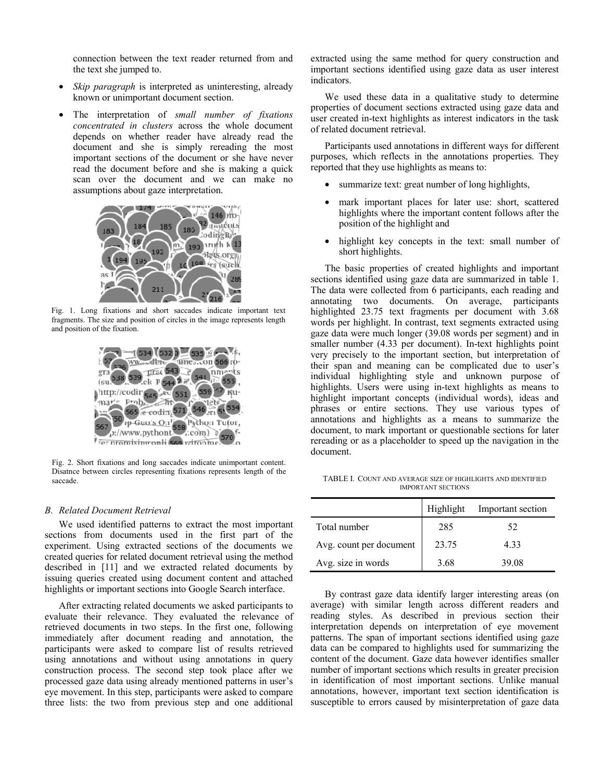connection between the text reader returned from and the text she jumped to.

- *Skip paragraph* is interpreted as uninteresting, already known or unimportant document section.
- The interpretation of *small number of fixations concentrated in clusters* across the whole document depends on whether reader have already read the document and she is simply rereading the most important sections of the document or she have never read the document before and she is making a quick scan over the document and we can make no assumptions about gaze interpretation.



Fig. 1. Long fixations and short saccades indicate important text fragments. The size and position of circles in the image represents length and position of the fixation.



Fig. 2. Short fixations and long saccades indicate unimportant content. Disatnce between circles representing fixations represents length of the saccade.

# *B. Related Document Retrieval*

We used identified patterns to extract the most important sections from documents used in the first part of the experiment. Using extracted sections of the documents we created queries for related document retrieval using the method described in [11] and we extracted related documents by issuing queries created using document content and attached highlights or important sections into Google Search interface.

After extracting related documents we asked participants to evaluate their relevance. They evaluated the relevance of retrieved documents in two steps. In the first one, following immediately after document reading and annotation, the participants were asked to compare list of results retrieved using annotations and without using annotations in query construction process. The second step took place after we processed gaze data using already mentioned patterns in user's eye movement. In this step, participants were asked to compare three lists: the two from previous step and one additional

extracted using the same method for query construction and important sections identified using gaze data as user interest indicators.

We used these data in a qualitative study to determine properties of document sections extracted using gaze data and user created in-text highlights as interest indicators in the task of related document retrieval.

Participants used annotations in different ways for different purposes, which reflects in the annotations properties. They reported that they use highlights as means to:

- summarize text: great number of long highlights,
- mark important places for later use: short, scattered highlights where the important content follows after the position of the highlight and
- highlight key concepts in the text: small number of short highlights.

The basic properties of created highlights and important sections identified using gaze data are summarized in table 1. The data were collected from 6 participants, each reading and annotating two documents. On average, participants highlighted 23.75 text fragments per document with 3.68 words per highlight. In contrast, text segments extracted using gaze data were much longer (39.08 words per segment) and in smaller number (4.33 per document). In-text highlights point very precisely to the important section, but interpretation of their span and meaning can be complicated due to user's individual highlighting style and unknown purpose of highlights. Users were using in-text highlights as means to highlight important concepts (individual words), ideas and phrases or entire sections. They use various types of annotations and highlights as a means to summarize the document, to mark important or questionable sections for later rereading or as a placeholder to speed up the navigation in the document.

TABLE I. COUNT AND AVERAGE SIZE OF HIGHLIGHTS AND IDENTIFIED IMPORTANT SECTIONS

|                         | Highlight | Important section |
|-------------------------|-----------|-------------------|
| Total number            | 285       | 52                |
| Avg. count per document | 23.75     | 4.33              |
| Avg. size in words      | 3.68      | 39.08             |

By contrast gaze data identify larger interesting areas (on average) with similar length across different readers and reading styles. As described in previous section their interpretation depends on interpretation of eye movement patterns. The span of important sections identified using gaze data can be compared to highlights used for summarizing the content of the document. Gaze data however identifies smaller number of important sections which results in greater precision in identification of most important sections. Unlike manual annotations, however, important text section identification is susceptible to errors caused by misinterpretation of gaze data